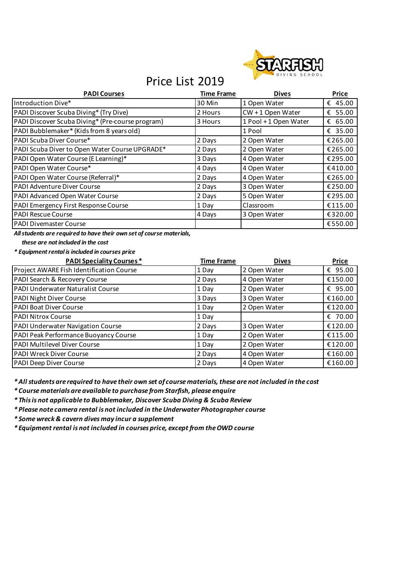

# Price List 2019

| <b>PADI Courses</b>                              | <b>Time Frame</b> | <b>Dives</b>          | <b>Price</b> |
|--------------------------------------------------|-------------------|-----------------------|--------------|
| Introduction Dive*                               | 30 Min            | 1 Open Water          | € 45.00      |
| PADI Discover Scuba Diving* (Try Dive)           | 2 Hours           | $CW + 1$ Open Water   | € 55.00      |
| PADI Discover Scuba Diving* (Pre-course program) | 3 Hours           | 1 Pool + 1 Open Water | € 65.00      |
| PADI Bubblemaker* (Kids from 8 years old)        |                   | 1 Pool                | € 35.00      |
| PADI Scuba Diver Course*                         | 2 Days            | 2 Open Water          | €265.00      |
| PADI Scuba Diver to Open Water Course UPGRADE*   | 2 Days            | 2 Open Water          | €265.00      |
| PADI Open Water Course (E Learning)*             | 3 Days            | 4 Open Water          | €295.00      |
| PADI Open Water Course*                          | 4 Days            | 4 Open Water          | €410.00      |
| PADI Open Water Course (Referral)*               | 2 Days            | 4 Open Water          | €265.00      |
| PADI Adventure Diver Course                      | 2 Days            | 3 Open Water          | €250.00      |
| PADI Advanced Open Water Course                  | 2 Days            | 5 Open Water          | €295.00      |
| PADI Emergency First Response Course             | 1 Day             | Classroom             | €115.00      |
| <b>PADI Rescue Course</b>                        | 4 Days            | 3 Open Water          | €320.00      |
| <b>PADI Divemaster Course</b>                    |                   |                       | €550.00      |

*All students are required to have their own set of course materials,* 

*these are not included in the cost*

*\* Equipment rental is included in courses price*

| <b>PADI Speciality Courses*</b>          | <b>Time Frame</b> | <b>Dives</b> | <b>Price</b> |
|------------------------------------------|-------------------|--------------|--------------|
| Project AWARE Fish Identification Course | 1 Day             | 2 Open Water | € 95.00      |
| PADI Search & Recovery Course            | 2 Days            | 4 Open Water | €150.00      |
| PADI Underwater Naturalist Course        | 1 Day             | 2 Open Water | € 95.00      |
| PADI Night Diver Course                  | 3 Days            | 3 Open Water | €160.00      |
| PADI Boat Diver Course                   | 1 Day             | 2 Open Water | €120.00      |
| <b>PADI Nitrox Course</b>                | 1 Day             |              | € 70.00      |
| PADI Underwater Navigation Course        | 2 Days            | 3 Open Water | €120.00      |
| PADI Peak Performance Buoyancy Course    | 1 Day             | 2 Open Water | €115.00      |
| PADI Multilevel Diver Course             | 1 Day             | 2 Open Water | €120.00      |
| PADI Wreck Diver Course                  | 2 Days            | 4 Open Water | €160.00      |
| PADI Deep Diver Course                   | 2 Days            | 4 Open Water | €160.00      |

*\* All students are required to have their own set of course materials, these are not included in the cost*

*\* Course materials are available to purchase from Starfish, please enquire*

*\* This is not applicable to Bubblemaker, Discover Scuba Diving & Scuba Review*

*\* Please note camera rental is not included in the Underwater Photographer course* 

*\* Some wreck & cavern dives may incur a supplement*

*\* Equipment rental is not included in courses price, except from the OWD course*